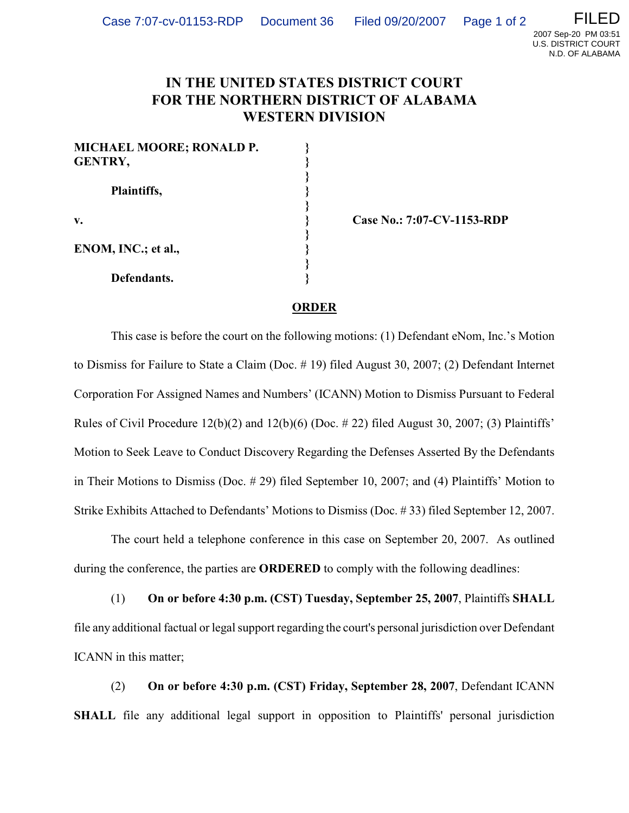

## **IN THE UNITED STATES DISTRICT COURT FOR THE NORTHERN DISTRICT OF ALABAMA WESTERN DIVISION**

| <b>MICHAEL MOORE; RONALD P.</b> |  |
|---------------------------------|--|
| <b>GENTRY,</b>                  |  |
| Plaintiffs,                     |  |
|                                 |  |
| $\mathbf{v}$ .                  |  |
| ENOM, INC.; et al.,             |  |
|                                 |  |
|                                 |  |
| Defendants.                     |  |

**Case No.: 7:07-CV-1153-RDP** 

## **ORDER**

This case is before the court on the following motions: (1) Defendant eNom, Inc.'s Motion to Dismiss for Failure to State a Claim (Doc. # 19) filed August 30, 2007; (2) Defendant Internet Corporation For Assigned Names and Numbers' (ICANN) Motion to Dismiss Pursuant to Federal Rules of Civil Procedure  $12(b)(2)$  and  $12(b)(6)$  (Doc. #22) filed August 30, 2007; (3) Plaintiffs' Motion to Seek Leave to Conduct Discovery Regarding the Defenses Asserted By the Defendants in Their Motions to Dismiss (Doc. # 29) filed September 10, 2007; and (4) Plaintiffs' Motion to Strike Exhibits Attached to Defendants' Motions to Dismiss (Doc. # 33) filed September 12, 2007.

The court held a telephone conference in this case on September 20, 2007. As outlined during the conference, the parties are **ORDERED** to comply with the following deadlines:

(1) **On or before 4:30 p.m. (CST) Tuesday, September 25, 2007**, Plaintiffs **SHALL** file any additional factual or legal support regarding the court's personal jurisdiction over Defendant ICANN in this matter;

(2) **On or before 4:30 p.m. (CST) Friday, September 28, 2007**, Defendant ICANN **SHALL** file any additional legal support in opposition to Plaintiffs' personal jurisdiction